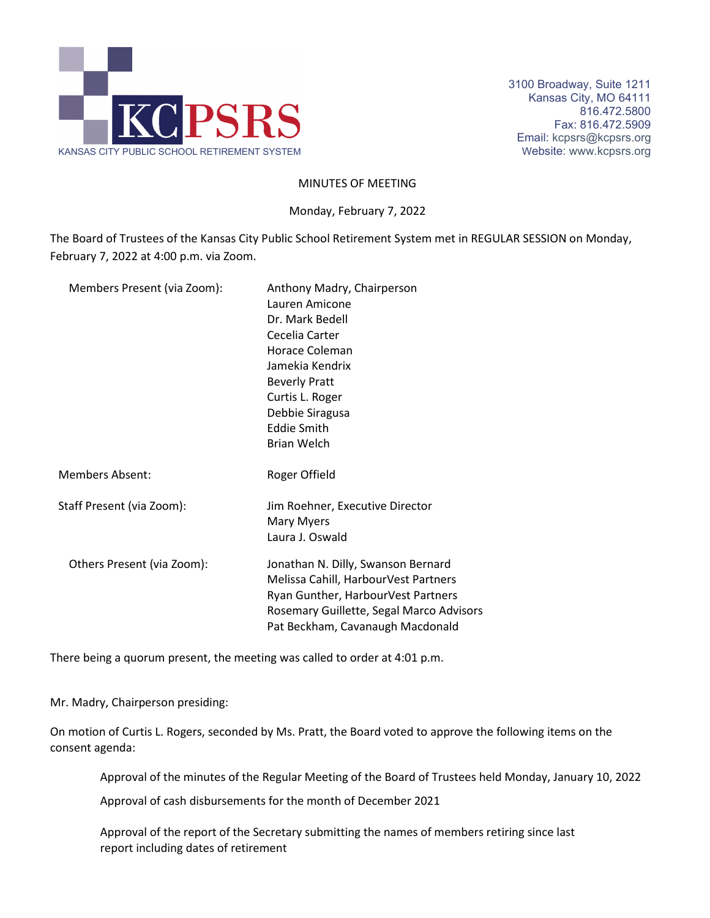

## MINUTES OF MEETING

Monday, February 7, 2022

The Board of Trustees of the Kansas City Public School Retirement System met in REGULAR SESSION on Monday, February 7, 2022 at 4:00 p.m. via Zoom.

| Members Present (via Zoom): | Anthony Madry, Chairperson<br>Lauren Amicone<br>Dr. Mark Bedell<br>Cecelia Carter<br>Horace Coleman<br>Jamekia Kendrix<br><b>Beverly Pratt</b><br>Curtis L. Roger<br>Debbie Siragusa<br><b>Eddie Smith</b><br><b>Brian Welch</b> |
|-----------------------------|----------------------------------------------------------------------------------------------------------------------------------------------------------------------------------------------------------------------------------|
| <b>Members Absent:</b>      | Roger Offield                                                                                                                                                                                                                    |
| Staff Present (via Zoom):   | Jim Roehner, Executive Director<br>Mary Myers<br>Laura J. Oswald                                                                                                                                                                 |
| Others Present (via Zoom):  | Jonathan N. Dilly, Swanson Bernard<br>Melissa Cahill, HarbourVest Partners<br>Ryan Gunther, HarbourVest Partners<br>Rosemary Guillette, Segal Marco Advisors<br>Pat Beckham, Cavanaugh Macdonald                                 |

There being a quorum present, the meeting was called to order at 4:01 p.m.

Mr. Madry, Chairperson presiding:

On motion of Curtis L. Rogers, seconded by Ms. Pratt, the Board voted to approve the following items on the consent agenda:

Approval of the minutes of the Regular Meeting of the Board of Trustees held Monday, January 10, 2022

Approval of cash disbursements for the month of December 2021

Approval of the report of the Secretary submitting the names of members retiring since last report including dates of retirement